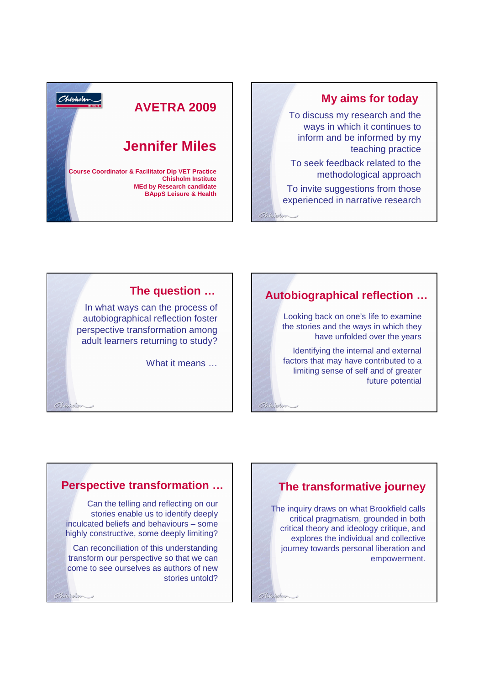

To discuss my research and the ways in which it continues to inform and be informed by my teaching practice

To seek feedback related to the methodological approach

To invite suggestions from those experienced in narrative research

 $Chidholen$ 

Ohtshohrr

Chicholas



In what ways can the process of autobiographical reflection foster perspective transformation among adult learners returning to study?

What it means ...

# **The question … Autobiographical reflection …**

Looking back on one's life to examine the stories and the ways in which they have unfolded over the years

Identifying the internal and external factors that may have contributed to a limiting sense of self and of greater future potential

#### **Perspective transformation …**

Charloton

 $Chb$ 

Can the telling and reflecting on our stories enable us to identify deeply inculcated beliefs and behaviours – some highly constructive, some deeply limiting?

Can reconciliation of this understanding transform our perspective so that we can come to see ourselves as authors of new stories untold?

### **The transformative journey**

The inquiry draws on what Brookfield calls critical pragmatism, grounded in both critical theory and ideology critique, and explores the individual and collective journey towards personal liberation and empowerment.